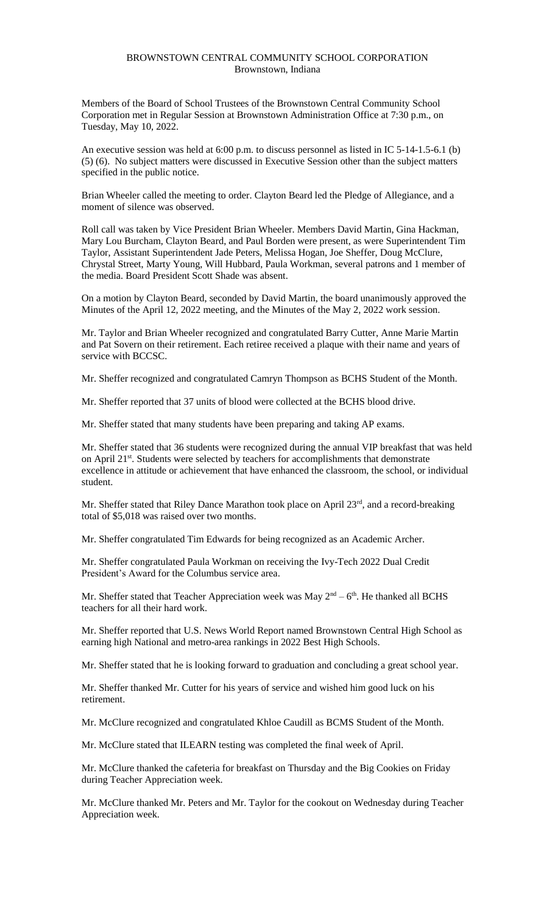## BROWNSTOWN CENTRAL COMMUNITY SCHOOL CORPORATION Brownstown, Indiana

Members of the Board of School Trustees of the Brownstown Central Community School Corporation met in Regular Session at Brownstown Administration Office at 7:30 p.m., on Tuesday, May 10, 2022.

An executive session was held at 6:00 p.m. to discuss personnel as listed in IC 5-14-1.5-6.1 (b) (5) (6). No subject matters were discussed in Executive Session other than the subject matters specified in the public notice.

Brian Wheeler called the meeting to order. Clayton Beard led the Pledge of Allegiance, and a moment of silence was observed.

Roll call was taken by Vice President Brian Wheeler. Members David Martin, Gina Hackman, Mary Lou Burcham, Clayton Beard, and Paul Borden were present, as were Superintendent Tim Taylor, Assistant Superintendent Jade Peters, Melissa Hogan, Joe Sheffer, Doug McClure, Chrystal Street, Marty Young, Will Hubbard, Paula Workman, several patrons and 1 member of the media. Board President Scott Shade was absent.

On a motion by Clayton Beard, seconded by David Martin, the board unanimously approved the Minutes of the April 12, 2022 meeting, and the Minutes of the May 2, 2022 work session.

Mr. Taylor and Brian Wheeler recognized and congratulated Barry Cutter, Anne Marie Martin and Pat Sovern on their retirement. Each retiree received a plaque with their name and years of service with BCCSC.

Mr. Sheffer recognized and congratulated Camryn Thompson as BCHS Student of the Month.

Mr. Sheffer reported that 37 units of blood were collected at the BCHS blood drive.

Mr. Sheffer stated that many students have been preparing and taking AP exams.

Mr. Sheffer stated that 36 students were recognized during the annual VIP breakfast that was held on April 21<sup>st</sup>. Students were selected by teachers for accomplishments that demonstrate excellence in attitude or achievement that have enhanced the classroom, the school, or individual student.

Mr. Sheffer stated that Riley Dance Marathon took place on April 23<sup>rd</sup>, and a record-breaking total of \$5,018 was raised over two months.

Mr. Sheffer congratulated Tim Edwards for being recognized as an Academic Archer.

Mr. Sheffer congratulated Paula Workman on receiving the Ivy-Tech 2022 Dual Credit President's Award for the Columbus service area.

Mr. Sheffer stated that Teacher Appreciation week was May  $2<sup>nd</sup> - 6<sup>th</sup>$ . He thanked all BCHS teachers for all their hard work.

Mr. Sheffer reported that U.S. News World Report named Brownstown Central High School as earning high National and metro-area rankings in 2022 Best High Schools.

Mr. Sheffer stated that he is looking forward to graduation and concluding a great school year.

Mr. Sheffer thanked Mr. Cutter for his years of service and wished him good luck on his retirement.

Mr. McClure recognized and congratulated Khloe Caudill as BCMS Student of the Month.

Mr. McClure stated that ILEARN testing was completed the final week of April.

Mr. McClure thanked the cafeteria for breakfast on Thursday and the Big Cookies on Friday during Teacher Appreciation week.

Mr. McClure thanked Mr. Peters and Mr. Taylor for the cookout on Wednesday during Teacher Appreciation week.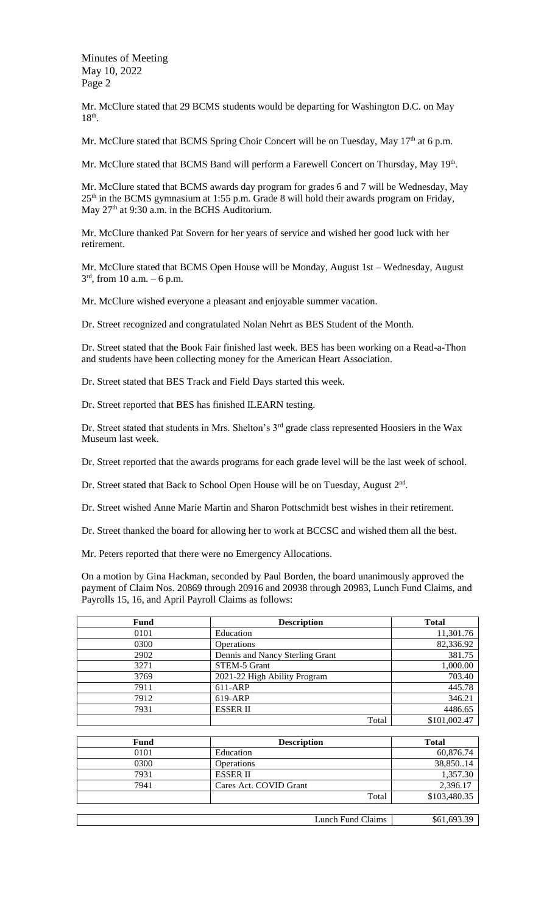Minutes of Meeting May 10, 2022 Page 2

Mr. McClure stated that 29 BCMS students would be departing for Washington D.C. on May 18<sup>th</sup>.

Mr. McClure stated that BCMS Spring Choir Concert will be on Tuesday, May 17<sup>th</sup> at 6 p.m.

Mr. McClure stated that BCMS Band will perform a Farewell Concert on Thursday, May 19<sup>th</sup>.

Mr. McClure stated that BCMS awards day program for grades 6 and 7 will be Wednesday, May 25<sup>th</sup> in the BCMS gymnasium at 1:55 p.m. Grade 8 will hold their awards program on Friday, May  $27<sup>th</sup>$  at 9:30 a.m. in the BCHS Auditorium.

Mr. McClure thanked Pat Sovern for her years of service and wished her good luck with her retirement.

Mr. McClure stated that BCMS Open House will be Monday, August 1st – Wednesday, August  $3<sup>rd</sup>$ , from 10 a.m. – 6 p.m.

Mr. McClure wished everyone a pleasant and enjoyable summer vacation.

Dr. Street recognized and congratulated Nolan Nehrt as BES Student of the Month.

Dr. Street stated that the Book Fair finished last week. BES has been working on a Read-a-Thon and students have been collecting money for the American Heart Association.

Dr. Street stated that BES Track and Field Days started this week.

Dr. Street reported that BES has finished ILEARN testing.

Dr. Street stated that students in Mrs. Shelton's 3<sup>rd</sup> grade class represented Hoosiers in the Wax Museum last week.

Dr. Street reported that the awards programs for each grade level will be the last week of school.

Dr. Street stated that Back to School Open House will be on Tuesday, August 2<sup>nd</sup>.

Dr. Street wished Anne Marie Martin and Sharon Pottschmidt best wishes in their retirement.

Dr. Street thanked the board for allowing her to work at BCCSC and wished them all the best.

Mr. Peters reported that there were no Emergency Allocations.

On a motion by Gina Hackman, seconded by Paul Borden, the board unanimously approved the payment of Claim Nos. 20869 through 20916 and 20938 through 20983, Lunch Fund Claims, and Payrolls 15, 16, and April Payroll Claims as follows:

| Fund | <b>Description</b>              | <b>Total</b> |
|------|---------------------------------|--------------|
| 0101 | Education                       | 11,301.76    |
| 0300 | <b>Operations</b>               | 82,336.92    |
| 2902 | Dennis and Nancy Sterling Grant | 381.75       |
| 3271 | STEM-5 Grant                    | 1,000.00     |
| 3769 | 2021-22 High Ability Program    | 703.40       |
| 7911 | 611-ARP                         | 445.78       |
| 7912 | 619-ARP                         | 346.21       |
| 7931 | <b>ESSERII</b>                  | 4486.65      |
|      | Total                           | \$101,002.47 |

| Fund | <b>Description</b>     | <b>Total</b> |
|------|------------------------|--------------|
| 0101 | Education              | 60,876.74    |
| 0300 | <b>Operations</b>      | 38,85014     |
| 7931 | <b>ESSER II</b>        | 1,357.30     |
| 7941 | Cares Act. COVID Grant | 2,396.17     |
|      | Total                  | \$103,480.35 |
|      |                        |              |

Lunch Fund Claims \$61,693.39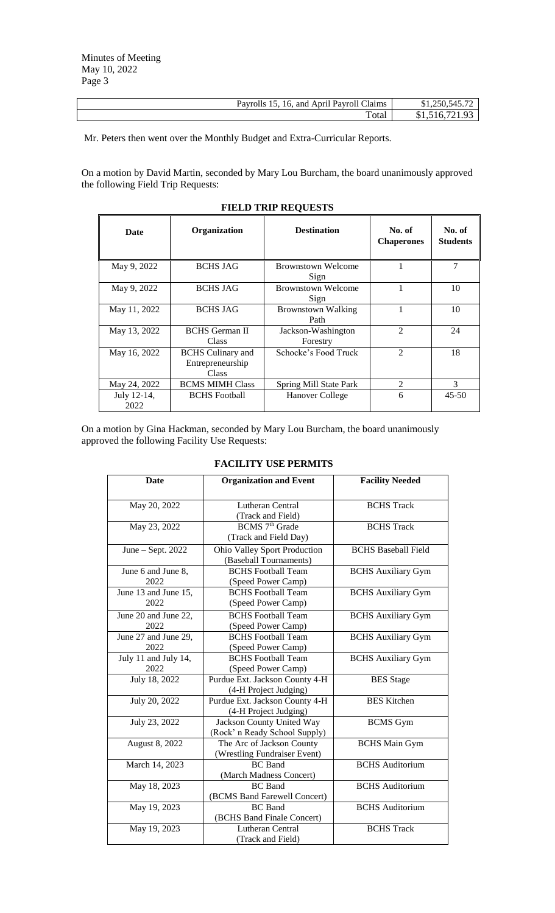| 16. and April Pavroll Claims<br>Payrolls 15. | \$1,250,545.72     |
|----------------------------------------------|--------------------|
| Total                                        | 516 721 93<br>31.5 |

Mr. Peters then went over the Monthly Budget and Extra-Curricular Reports.

On a motion by David Martin, seconded by Mary Lou Burcham, the board unanimously approved the following Field Trip Requests:

| <b>Date</b>         | Organization                                          | <b>Destination</b>                | No. of<br><b>Chaperones</b> | No. of<br><b>Students</b> |
|---------------------|-------------------------------------------------------|-----------------------------------|-----------------------------|---------------------------|
| May 9, 2022         | <b>BCHS JAG</b>                                       | <b>Brownstown Welcome</b><br>Sign |                             | 7                         |
| May 9, 2022         | <b>BCHS JAG</b>                                       | <b>Brownstown Welcome</b><br>Sign |                             | 10                        |
| May 11, 2022        | <b>BCHS JAG</b>                                       | <b>Brownstown Walking</b><br>Path |                             | 10                        |
| May 13, 2022        | <b>BCHS</b> German II<br>Class                        | Jackson-Washington<br>Forestry    | $\mathfrak{D}$              | 24                        |
| May 16, 2022        | <b>BCHS</b> Culinary and<br>Entrepreneurship<br>Class | Schocke's Food Truck              | $\mathfrak{D}$              | 18                        |
| May 24, 2022        | <b>BCMS MIMH Class</b>                                | Spring Mill State Park            | 2                           | 3                         |
| July 12-14,<br>2022 | <b>BCHS</b> Football                                  | Hanover College                   | 6                           | $45 - 50$                 |

## **FIELD TRIP REQUESTS**

On a motion by Gina Hackman, seconded by Mary Lou Burcham, the board unanimously approved the following Facility Use Requests:

## **FACILITY USE PERMITS**

| Date                         | <b>Organization and Event</b>                              | <b>Facility Needed</b>     |
|------------------------------|------------------------------------------------------------|----------------------------|
| May 20, 2022                 | <b>Lutheran Central</b><br>(Track and Field)               | <b>BCHS</b> Track          |
| May 23, 2022                 | BCMS 7 <sup>th</sup> Grade<br>(Track and Field Day)        | <b>BCHS</b> Track          |
| June $-$ Sept. 2022          | Ohio Valley Sport Production<br>(Baseball Tournaments)     | <b>BCHS Baseball Field</b> |
| June 6 and June 8,<br>2022   | <b>BCHS</b> Football Team<br>(Speed Power Camp)            | <b>BCHS</b> Auxiliary Gym  |
| June 13 and June 15,<br>2022 | <b>BCHS</b> Football Team<br>(Speed Power Camp)            | <b>BCHS</b> Auxiliary Gym  |
| June 20 and June 22,<br>2022 | <b>BCHS</b> Football Team<br>(Speed Power Camp)            | <b>BCHS</b> Auxiliary Gym  |
| June 27 and June 29,<br>2022 | <b>BCHS</b> Football Team<br>(Speed Power Camp)            | <b>BCHS</b> Auxiliary Gym  |
| July 11 and July 14,<br>2022 | <b>BCHS</b> Football Team<br>(Speed Power Camp)            | <b>BCHS</b> Auxiliary Gym  |
| July 18, 2022                | Purdue Ext. Jackson County 4-H<br>(4-H Project Judging)    | <b>BES</b> Stage           |
| July 20, 2022                | Purdue Ext. Jackson County 4-H<br>(4-H Project Judging)    | <b>BES</b> Kitchen         |
| July 23, 2022                | Jackson County United Way<br>(Rock' n Ready School Supply) | <b>BCMS</b> Gym            |
| August 8, 2022               | The Arc of Jackson County<br>(Wrestling Fundraiser Event)  | <b>BCHS</b> Main Gym       |
| March 14, 2023               | <b>BC</b> Band<br>(March Madness Concert)                  | <b>BCHS</b> Auditorium     |
| May 18, 2023                 | <b>BC</b> Band<br>(BCMS Band Farewell Concert)             | <b>BCHS</b> Auditorium     |
| May 19, 2023                 | <b>BC</b> Band<br>(BCHS Band Finale Concert)               | <b>BCHS</b> Auditorium     |
| May 19, 2023                 | Lutheran Central<br>(Track and Field)                      | <b>BCHS</b> Track          |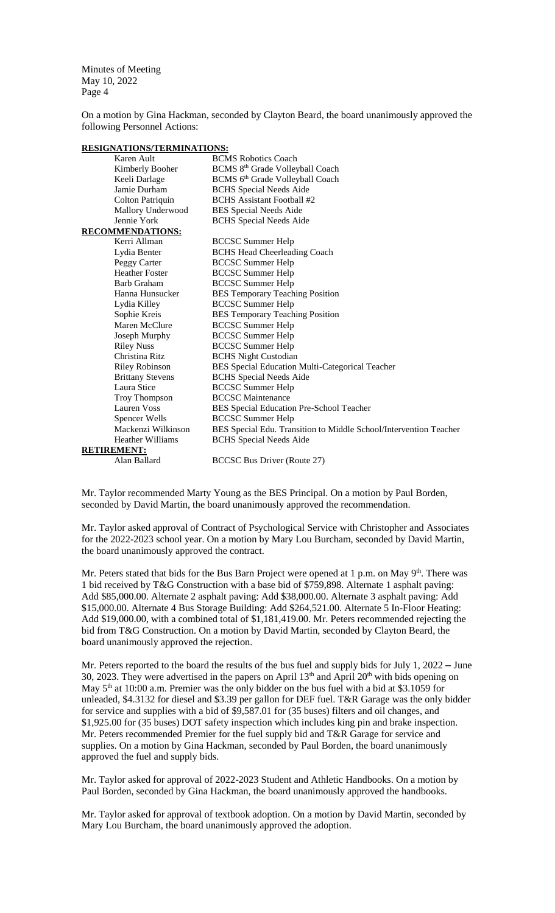Minutes of Meeting May 10, 2022 Page 4

On a motion by Gina Hackman, seconded by Clayton Beard, the board unanimously approved the following Personnel Actions:

| <u>KESIGNATIONS/TEKWIINATIONS.</u> |                                                                   |
|------------------------------------|-------------------------------------------------------------------|
| Karen Ault                         | <b>BCMS</b> Robotics Coach                                        |
| Kimberly Booher                    | BCMS 8 <sup>th</sup> Grade Volleyball Coach                       |
| Keeli Darlage                      | BCMS 6th Grade Volleyball Coach                                   |
| Jamie Durham                       | <b>BCHS</b> Special Needs Aide                                    |
| Colton Patriquin                   | <b>BCHS</b> Assistant Football #2                                 |
| Mallory Underwood                  | <b>BES Special Needs Aide</b>                                     |
| Jennie York                        | <b>BCHS</b> Special Needs Aide                                    |
| <b>RECOMMENDATIONS:</b>            |                                                                   |
| Kerri Allman                       | <b>BCCSC Summer Help</b>                                          |
| Lydia Benter                       | <b>BCHS Head Cheerleading Coach</b>                               |
| Peggy Carter                       | <b>BCCSC Summer Help</b>                                          |
| <b>Heather Foster</b>              | <b>BCCSC Summer Help</b>                                          |
| <b>Barb Graham</b>                 | <b>BCCSC Summer Help</b>                                          |
| Hanna Hunsucker                    | <b>BES Temporary Teaching Position</b>                            |
| Lydia Killey                       | <b>BCCSC Summer Help</b>                                          |
| Sophie Kreis                       | <b>BES Temporary Teaching Position</b>                            |
| Maren McClure                      | <b>BCCSC Summer Help</b>                                          |
| Joseph Murphy                      | <b>BCCSC Summer Help</b>                                          |
| <b>Riley Nuss</b>                  | <b>BCCSC Summer Help</b>                                          |
| Christina Ritz                     | <b>BCHS Night Custodian</b>                                       |
| Riley Robinson                     | BES Special Education Multi-Categorical Teacher                   |
| <b>Brittany Stevens</b>            | <b>BCHS</b> Special Needs Aide                                    |
| Laura Stice                        | <b>BCCSC Summer Help</b>                                          |
| Troy Thompson                      | <b>BCCSC</b> Maintenance                                          |
| <b>Lauren Voss</b>                 | BES Special Education Pre-School Teacher                          |
| Spencer Wells                      | <b>BCCSC Summer Help</b>                                          |
| Mackenzi Wilkinson                 | BES Special Edu. Transition to Middle School/Intervention Teacher |
| <b>Heather Williams</b>            | <b>BCHS</b> Special Needs Aide                                    |
| <b>RETIREMENT:</b>                 |                                                                   |
| Alan Ballard                       | <b>BCCSC Bus Driver (Route 27)</b>                                |

**RESIGNATIONS/TERMINATIONS:**

Mr. Taylor recommended Marty Young as the BES Principal. On a motion by Paul Borden, seconded by David Martin, the board unanimously approved the recommendation.

Mr. Taylor asked approval of Contract of Psychological Service with Christopher and Associates for the 2022-2023 school year. On a motion by Mary Lou Burcham, seconded by David Martin, the board unanimously approved the contract.

Mr. Peters stated that bids for the Bus Barn Project were opened at 1 p.m. on May 9<sup>th</sup>. There was 1 bid received by T&G Construction with a base bid of \$759,898. Alternate 1 asphalt paving: Add \$85,000.00. Alternate 2 asphalt paving: Add \$38,000.00. Alternate 3 asphalt paving: Add \$15,000.00. Alternate 4 Bus Storage Building: Add \$264,521.00. Alternate 5 In-Floor Heating: Add \$19,000.00, with a combined total of \$1,181,419.00. Mr. Peters recommended rejecting the bid from T&G Construction. On a motion by David Martin, seconded by Clayton Beard, the board unanimously approved the rejection.

Mr. Peters reported to the board the results of the bus fuel and supply bids for July 1, 2022 – June 30, 2023. They were advertised in the papers on April  $13<sup>th</sup>$  and April  $20<sup>th</sup>$  with bids opening on May  $5<sup>th</sup>$  at 10:00 a.m. Premier was the only bidder on the bus fuel with a bid at \$3.1059 for unleaded, \$4.3132 for diesel and \$3.39 per gallon for DEF fuel. T&R Garage was the only bidder for service and supplies with a bid of \$9,587.01 for (35 buses) filters and oil changes, and \$1,925.00 for (35 buses) DOT safety inspection which includes king pin and brake inspection. Mr. Peters recommended Premier for the fuel supply bid and T&R Garage for service and supplies. On a motion by Gina Hackman, seconded by Paul Borden, the board unanimously approved the fuel and supply bids.

Mr. Taylor asked for approval of 2022-2023 Student and Athletic Handbooks. On a motion by Paul Borden, seconded by Gina Hackman, the board unanimously approved the handbooks.

Mr. Taylor asked for approval of textbook adoption. On a motion by David Martin, seconded by Mary Lou Burcham, the board unanimously approved the adoption.